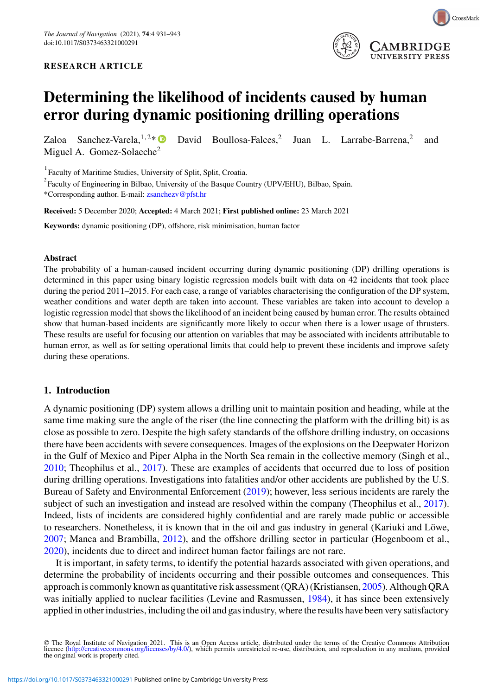#### **RESEARCH ARTICLE**



# **Determining the likelihood of incidents caused by human error during dynamic positioning drilling operations**

Zaloa Sanchez-Varela,<sup>1,2\*</sup> David Boullosa-Falces,<sup>2</sup> Juan L. Larrabe-Barrena,<sup>2</sup> and Miguel A. Gomez-Solaeche<sup>2</sup>

1 Faculty of Maritime Studies, University of Split, Split, Croatia.

 $2^{2}$  Faculty of Engineering in Bilbao, University of the Basque Country (UPV/EHU), Bilbao, Spain.

\*Corresponding author. E-mail: [zsanchezv@pfst.hr](mailto:zsanchezv@pfst.hr)

**Received:** 5 December 2020; **Accepted:** 4 March 2021; **First published online:** 23 March 2021

**Keywords:** dynamic positioning (DP), offshore, risk minimisation, human factor

#### **Abstract**

The probability of a human-caused incident occurring during dynamic positioning (DP) drilling operations is determined in this paper using binary logistic regression models built with data on 42 incidents that took place during the period 2011–2015. For each case, a range of variables characterising the configuration of the DP system, weather conditions and water depth are taken into account. These variables are taken into account to develop a logistic regression model that shows the likelihood of an incident being caused by human error. The results obtained show that human-based incidents are significantly more likely to occur when there is a lower usage of thrusters. These results are useful for focusing our attention on variables that may be associated with incidents attributable to human error, as well as for setting operational limits that could help to prevent these incidents and improve safety during these operations.

## **1. Introduction**

A dynamic positioning (DP) system allows a drilling unit to maintain position and heading, while at the same time making sure the angle of the riser (the line connecting the platform with the drilling bit) is as close as possible to zero. Despite the high safety standards of the offshore drilling industry, on occasions there have been accidents with severe consequences. Images of the explosions on the Deepwater Horizon in the Gulf of Mexico and Piper Alpha in the North Sea remain in the collective memory (Singh et al., [2010;](#page-12-0) Theophilus et al., [2017\)](#page-12-1). These are examples of accidents that occurred due to loss of position during drilling operations. Investigations into fatalities and/or other accidents are published by the U.S. Bureau of Safety and Environmental Enforcement [\(2019\)](#page-12-2); however, less serious incidents are rarely the subject of such an investigation and instead are resolved within the company (Theophilus et al., [2017\)](#page-12-1). Indeed, lists of incidents are considered highly confidential and are rarely made public or accessible to researchers. Nonetheless, it is known that in the oil and gas industry in general (Kariuki and Löwe, [2007;](#page-11-0) Manca and Brambilla, [2012\)](#page-11-1), and the offshore drilling sector in particular (Hogenboom et al., [2020\)](#page-11-2), incidents due to direct and indirect human factor failings are not rare.

It is important, in safety terms, to identify the potential hazards associated with given operations, and determine the probability of incidents occurring and their possible outcomes and consequences. This approach is commonly known as quantitative risk assessment (QRA) (Kristiansen, [2005\)](#page-11-3). Although QRA was initially applied to nuclear facilities (Levine and Rasmussen, [1984\)](#page-11-4), it has since been extensively applied in other industries, including the oil and gas industry, where the results have been very satisfactory

© The Royal Institute of Navigation 2021. This is an Open Access article, distributed under the terms of the Creative Commons Attribution licence [\(http://creativecommons.org/licenses/by/4.0/\)](http://creativecommons.org/licenses/by/4.0/), which permits unrestricted re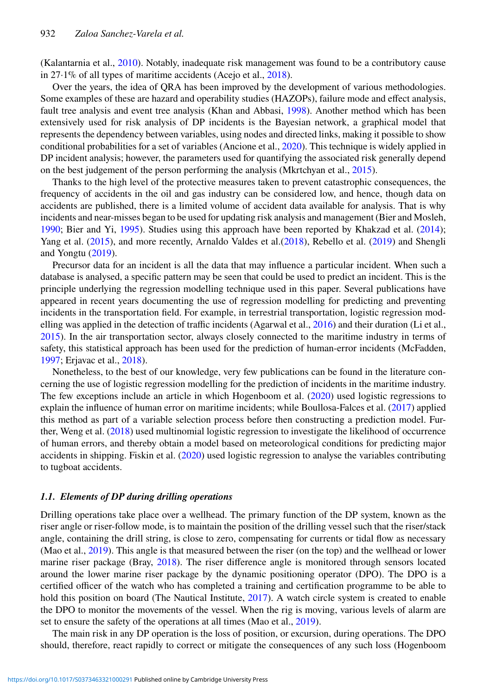(Kalantarnia et al., [2010\)](#page-11-5). Notably, inadequate risk management was found to be a contributory cause in 27·1% of all types of maritime accidents (Acejo et al., [2018\)](#page-10-0).

Over the years, the idea of QRA has been improved by the development of various methodologies. Some examples of these are hazard and operability studies (HAZOPs), failure mode and effect analysis, fault tree analysis and event tree analysis (Khan and Abbasi, [1998\)](#page-11-6). Another method which has been extensively used for risk analysis of DP incidents is the Bayesian network, a graphical model that represents the dependency between variables, using nodes and directed links, making it possible to show conditional probabilities for a set of variables (Ancione et al., [2020\)](#page-10-1). This technique is widely applied in DP incident analysis; however, the parameters used for quantifying the associated risk generally depend on the best judgement of the person performing the analysis (Mkrtchyan et al., [2015\)](#page-11-7).

Thanks to the high level of the protective measures taken to prevent catastrophic consequences, the frequency of accidents in the oil and gas industry can be considered low, and hence, though data on accidents are published, there is a limited volume of accident data available for analysis. That is why incidents and near-misses began to be used for updating risk analysis and management (Bier and Mosleh, [1990;](#page-10-2) Bier and Yi, [1995\)](#page-11-8). Studies using this approach have been reported by Khakzad et al. [\(2014\)](#page-11-9); Yang et al. [\(2015\)](#page-12-3), and more recently, Arnaldo Valdes et al.[\(2018\)](#page-10-3), Rebello et al. [\(2019\)](#page-12-4) and Shengli and Yongtu [\(2019\)](#page-12-5).

Precursor data for an incident is all the data that may influence a particular incident. When such a database is analysed, a specific pattern may be seen that could be used to predict an incident. This is the principle underlying the regression modelling technique used in this paper. Several publications have appeared in recent years documenting the use of regression modelling for predicting and preventing incidents in the transportation field. For example, in terrestrial transportation, logistic regression modelling was applied in the detection of traffic incidents (Agarwal et al., [2016\)](#page-10-4) and their duration (Li et al., [2015\)](#page-11-10). In the air transportation sector, always closely connected to the maritime industry in terms of safety, this statistical approach has been used for the prediction of human-error incidents (McFadden, [1997;](#page-11-11) Erjavac et al., [2018\)](#page-11-12).

Nonetheless, to the best of our knowledge, very few publications can be found in the literature concerning the use of logistic regression modelling for the prediction of incidents in the maritime industry. The few exceptions include an article in which Hogenboom et al. [\(2020\)](#page-11-2) used logistic regressions to explain the influence of human error on maritime incidents; while Boullosa-Falces et al. [\(2017\)](#page-11-13) applied this method as part of a variable selection process before then constructing a prediction model. Further, Weng et al. [\(2018\)](#page-12-6) used multinomial logistic regression to investigate the likelihood of occurrence of human errors, and thereby obtain a model based on meteorological conditions for predicting major accidents in shipping. Fiskin et al. [\(2020\)](#page-11-14) used logistic regression to analyse the variables contributing to tugboat accidents.

## *1.1. Elements of DP during drilling operations*

Drilling operations take place over a wellhead. The primary function of the DP system, known as the riser angle or riser-follow mode, is to maintain the position of the drilling vessel such that the riser/stack angle, containing the drill string, is close to zero, compensating for currents or tidal flow as necessary (Mao et al., [2019\)](#page-11-15). This angle is that measured between the riser (on the top) and the wellhead or lower marine riser package (Bray, [2018\)](#page-11-16). The riser difference angle is monitored through sensors located around the lower marine riser package by the dynamic positioning operator (DPO). The DPO is a certified officer of the watch who has completed a training and certification programme to be able to hold this position on board (The Nautical Institute, [2017\)](#page-12-7). A watch circle system is created to enable the DPO to monitor the movements of the vessel. When the rig is moving, various levels of alarm are set to ensure the safety of the operations at all times (Mao et al., [2019\)](#page-11-15).

The main risk in any DP operation is the loss of position, or excursion, during operations. The DPO should, therefore, react rapidly to correct or mitigate the consequences of any such loss (Hogenboom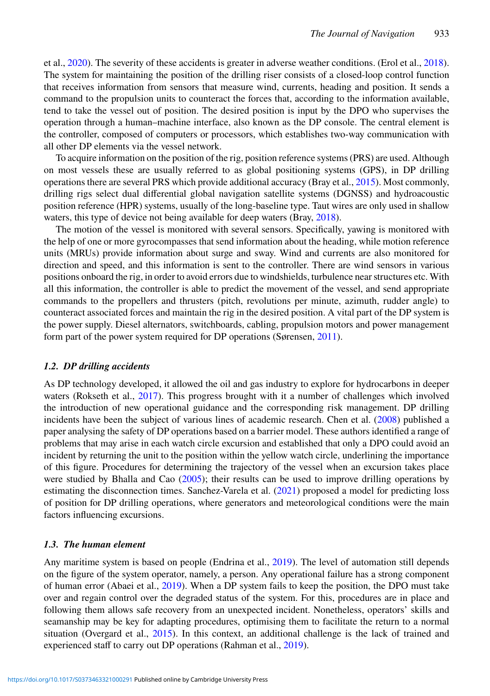et al., [2020\)](#page-11-2). The severity of these accidents is greater in adverse weather conditions. (Erol et al., [2018\)](#page-11-17). The system for maintaining the position of the drilling riser consists of a closed-loop control function that receives information from sensors that measure wind, currents, heading and position. It sends a command to the propulsion units to counteract the forces that, according to the information available, tend to take the vessel out of position. The desired position is input by the DPO who supervises the operation through a human–machine interface, also known as the DP console. The central element is the controller, composed of computers or processors, which establishes two-way communication with all other DP elements via the vessel network.

To acquire information on the position of the rig, position reference systems (PRS) are used. Although on most vessels these are usually referred to as global positioning systems (GPS), in DP drilling operations there are several PRS which provide additional accuracy (Bray et al., [2015\)](#page-11-18). Most commonly, drilling rigs select dual differential global navigation satellite systems (DGNSS) and hydroacoustic position reference (HPR) systems, usually of the long-baseline type. Taut wires are only used in shallow waters, this type of device not being available for deep waters (Bray, [2018\)](#page-11-16).

The motion of the vessel is monitored with several sensors. Specifically, yawing is monitored with the help of one or more gyrocompasses that send information about the heading, while motion reference units (MRUs) provide information about surge and sway. Wind and currents are also monitored for direction and speed, and this information is sent to the controller. There are wind sensors in various positions onboard the rig, in order to avoid errors due to windshields, turbulence near structures etc. With all this information, the controller is able to predict the movement of the vessel, and send appropriate commands to the propellers and thrusters (pitch, revolutions per minute, azimuth, rudder angle) to counteract associated forces and maintain the rig in the desired position. A vital part of the DP system is the power supply. Diesel alternators, switchboards, cabling, propulsion motors and power management form part of the power system required for DP operations (Sørensen, [2011\)](#page-12-8).

#### *1.2. DP drilling accidents*

As DP technology developed, it allowed the oil and gas industry to explore for hydrocarbons in deeper waters (Rokseth et al., [2017\)](#page-12-9). This progress brought with it a number of challenges which involved the introduction of new operational guidance and the corresponding risk management. DP drilling incidents have been the subject of various lines of academic research. Chen et al. [\(2008\)](#page-11-19) published a paper analysing the safety of DP operations based on a barrier model. These authors identified a range of problems that may arise in each watch circle excursion and established that only a DPO could avoid an incident by returning the unit to the position within the yellow watch circle, underlining the importance of this figure. Procedures for determining the trajectory of the vessel when an excursion takes place were studied by Bhalla and Cao [\(2005\)](#page-10-5); their results can be used to improve drilling operations by estimating the disconnection times. Sanchez-Varela et al. [\(2021\)](#page-12-10) proposed a model for predicting loss of position for DP drilling operations, where generators and meteorological conditions were the main factors influencing excursions.

#### *1.3. The human element*

Any maritime system is based on people (Endrina et al., [2019\)](#page-11-20). The level of automation still depends on the figure of the system operator, namely, a person. Any operational failure has a strong component of human error (Abaei et al., [2019\)](#page-10-6). When a DP system fails to keep the position, the DPO must take over and regain control over the degraded status of the system. For this, procedures are in place and following them allows safe recovery from an unexpected incident. Nonetheless, operators' skills and seamanship may be key for adapting procedures, optimising them to facilitate the return to a normal situation (Overgard et al., [2015\)](#page-11-21). In this context, an additional challenge is the lack of trained and experienced staff to carry out DP operations (Rahman et al., [2019\)](#page-11-22).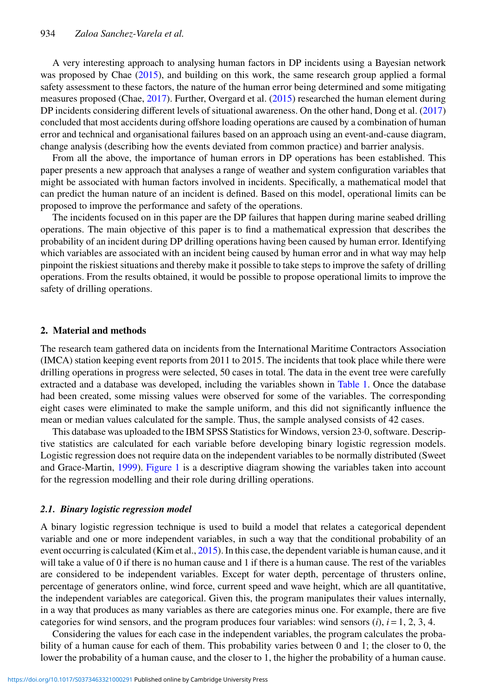A very interesting approach to analysing human factors in DP incidents using a Bayesian network was proposed by Chae [\(2015\)](#page-11-23), and building on this work, the same research group applied a formal safety assessment to these factors, the nature of the human error being determined and some mitigating measures proposed (Chae, [2017\)](#page-11-24). Further, Overgard et al. [\(2015\)](#page-11-21) researched the human element during DP incidents considering different levels of situational awareness. On the other hand, Dong et al. [\(2017\)](#page-11-25) concluded that most accidents during offshore loading operations are caused by a combination of human error and technical and organisational failures based on an approach using an event-and-cause diagram, change analysis (describing how the events deviated from common practice) and barrier analysis.

From all the above, the importance of human errors in DP operations has been established. This paper presents a new approach that analyses a range of weather and system configuration variables that might be associated with human factors involved in incidents. Specifically, a mathematical model that can predict the human nature of an incident is defined. Based on this model, operational limits can be proposed to improve the performance and safety of the operations.

The incidents focused on in this paper are the DP failures that happen during marine seabed drilling operations. The main objective of this paper is to find a mathematical expression that describes the probability of an incident during DP drilling operations having been caused by human error. Identifying which variables are associated with an incident being caused by human error and in what way may help pinpoint the riskiest situations and thereby make it possible to take steps to improve the safety of drilling operations. From the results obtained, it would be possible to propose operational limits to improve the safety of drilling operations.

#### **2. Material and methods**

The research team gathered data on incidents from the International Maritime Contractors Association (IMCA) station keeping event reports from 2011 to 2015. The incidents that took place while there were drilling operations in progress were selected, 50 cases in total. The data in the event tree were carefully extracted and a database was developed, including the variables shown in [Table 1.](#page-4-0) Once the database had been created, some missing values were observed for some of the variables. The corresponding eight cases were eliminated to make the sample uniform, and this did not significantly influence the mean or median values calculated for the sample. Thus, the sample analysed consists of 42 cases.

This database was uploaded to the IBM SPSS Statistics for Windows, version 23·0, software. Descriptive statistics are calculated for each variable before developing binary logistic regression models. Logistic regression does not require data on the independent variables to be normally distributed (Sweet and Grace-Martin, [1999\)](#page-12-11). [Figure 1](#page-5-0) is a descriptive diagram showing the variables taken into account for the regression modelling and their role during drilling operations.

## *2.1. Binary logistic regression model*

A binary logistic regression technique is used to build a model that relates a categorical dependent variable and one or more independent variables, in such a way that the conditional probability of an event occurring is calculated (Kim et al., [2015\)](#page-11-26). In this case, the dependent variable is human cause, and it will take a value of 0 if there is no human cause and 1 if there is a human cause. The rest of the variables are considered to be independent variables. Except for water depth, percentage of thrusters online, percentage of generators online, wind force, current speed and wave height, which are all quantitative, the independent variables are categorical. Given this, the program manipulates their values internally, in a way that produces as many variables as there are categories minus one. For example, there are five categories for wind sensors, and the program produces four variables: wind sensors  $(i)$ ,  $i = 1, 2, 3, 4$ .

Considering the values for each case in the independent variables, the program calculates the probability of a human cause for each of them. This probability varies between 0 and 1; the closer to 0, the lower the probability of a human cause, and the closer to 1, the higher the probability of a human cause.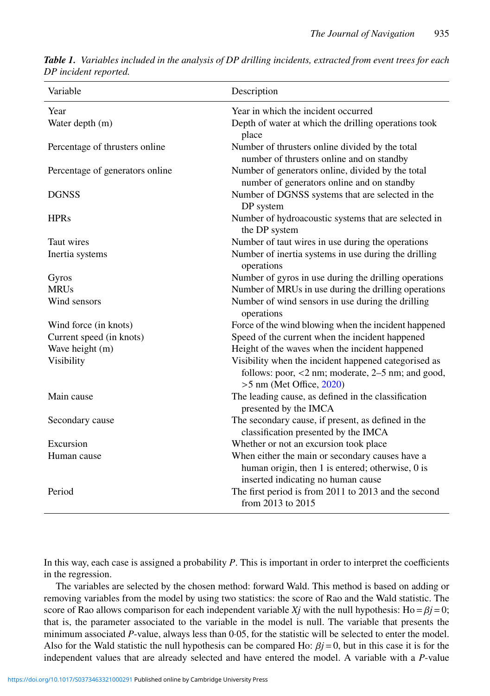| Variable                        | Description                                                                                                                             |  |  |
|---------------------------------|-----------------------------------------------------------------------------------------------------------------------------------------|--|--|
| Year                            | Year in which the incident occurred                                                                                                     |  |  |
| Water depth (m)                 | Depth of water at which the drilling operations took<br>place                                                                           |  |  |
| Percentage of thrusters online  | Number of thrusters online divided by the total<br>number of thrusters online and on standby                                            |  |  |
| Percentage of generators online | Number of generators online, divided by the total<br>number of generators online and on standby                                         |  |  |
| <b>DGNSS</b>                    | Number of DGNSS systems that are selected in the<br>DP system                                                                           |  |  |
| <b>HPRs</b>                     | Number of hydroacoustic systems that are selected in<br>the DP system                                                                   |  |  |
| Taut wires                      | Number of taut wires in use during the operations                                                                                       |  |  |
| Inertia systems                 | Number of inertia systems in use during the drilling<br>operations                                                                      |  |  |
| Gyros                           | Number of gyros in use during the drilling operations                                                                                   |  |  |
| <b>MRUs</b>                     | Number of MRUs in use during the drilling operations                                                                                    |  |  |
| Wind sensors                    | Number of wind sensors in use during the drilling<br>operations                                                                         |  |  |
| Wind force (in knots)           | Force of the wind blowing when the incident happened                                                                                    |  |  |
| Current speed (in knots)        | Speed of the current when the incident happened                                                                                         |  |  |
| Wave height (m)                 | Height of the waves when the incident happened                                                                                          |  |  |
| Visibility                      | Visibility when the incident happened categorised as<br>follows: poor, <2 nm; moderate, 2–5 nm; and good,<br>$>5$ nm (Met Office, 2020) |  |  |
| Main cause                      | The leading cause, as defined in the classification<br>presented by the IMCA                                                            |  |  |
| Secondary cause                 | The secondary cause, if present, as defined in the<br>classification presented by the IMCA                                              |  |  |
| Excursion                       | Whether or not an excursion took place                                                                                                  |  |  |
| Human cause                     | When either the main or secondary causes have a                                                                                         |  |  |
|                                 | human origin, then 1 is entered; otherwise, 0 is                                                                                        |  |  |
|                                 | inserted indicating no human cause                                                                                                      |  |  |
| Period                          | The first period is from 2011 to 2013 and the second<br>from 2013 to 2015                                                               |  |  |

<span id="page-4-0"></span>*Table 1. Variables included in the analysis of DP drilling incidents, extracted from event trees for each DP incident reported.*

In this way, each case is assigned a probability *P*. This is important in order to interpret the coefficients in the regression.

The variables are selected by the chosen method: forward Wald. This method is based on adding or removing variables from the model by using two statistics: the score of Rao and the Wald statistic. The score of Rao allows comparison for each independent variable *Xj* with the null hypothesis: Ho =  $\beta j$  = 0; that is, the parameter associated to the variable in the model is null. The variable that presents the minimum associated *P*-value, always less than 0.05, for the statistic will be selected to enter the model. Also for the Wald statistic the null hypothesis can be compared Ho:  $\beta j = 0$ , but in this case it is for the independent values that are already selected and have entered the model. A variable with a *P*-value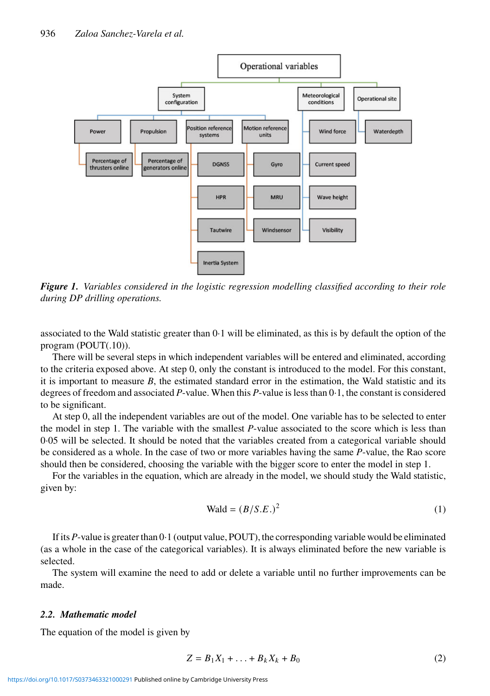

<span id="page-5-0"></span>*Figure 1. Variables considered in the logistic regression modelling classified according to their role during DP drilling operations.*

associated to the Wald statistic greater than 0·1 will be eliminated, as this is by default the option of the program (POUT(.10)).

There will be several steps in which independent variables will be entered and eliminated, according to the criteria exposed above. At step 0, only the constant is introduced to the model. For this constant, it is important to measure  $B$ , the estimated standard error in the estimation, the Wald statistic and its degrees of freedom and associated *P*-value. When this *P*-value is less than 0·1, the constant is considered to be significant.

At step 0, all the independent variables are out of the model. One variable has to be selected to enter the model in step 1. The variable with the smallest *P*-value associated to the score which is less than 0·05 will be selected. It should be noted that the variables created from a categorical variable should be considered as a whole. In the case of two or more variables having the same *P*-value, the Rao score should then be considered, choosing the variable with the bigger score to enter the model in step 1.

For the variables in the equation, which are already in the model, we should study the Wald statistic, given by:

$$
Wald = (B/S.E.)2
$$
 (1)

If its *P*-value is greater than 0·1 (output value, POUT), the corresponding variable would be eliminated (as a whole in the case of the categorical variables). It is always eliminated before the new variable is selected.

The system will examine the need to add or delete a variable until no further improvements can be made.

## *2.2. Mathematic model*

The equation of the model is given by

$$
Z = B_1 X_1 + \ldots + B_k X_k + B_0 \tag{2}
$$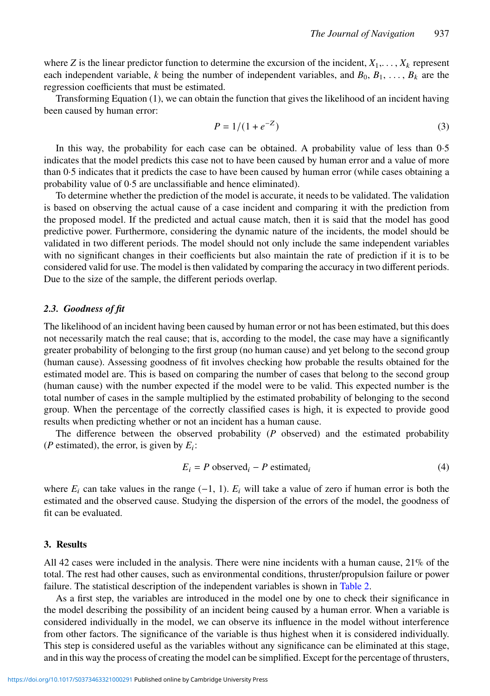where *Z* is the linear predictor function to determine the excursion of the incident,  $X_1, \ldots, X_k$  represent each independent variable, *k* being the number of independent variables, and  $B_0, B_1, \ldots, B_k$  are the regression coefficients that must be estimated.

Transforming Equation (1), we can obtain the function that gives the likelihood of an incident having been caused by human error:

$$
P = 1/(1 + e^{-Z})
$$
 (3)

In this way, the probability for each case can be obtained. A probability value of less than 0·5 indicates that the model predicts this case not to have been caused by human error and a value of more than 0·5 indicates that it predicts the case to have been caused by human error (while cases obtaining a probability value of 0·5 are unclassifiable and hence eliminated).

To determine whether the prediction of the model is accurate, it needs to be validated. The validation is based on observing the actual cause of a case incident and comparing it with the prediction from the proposed model. If the predicted and actual cause match, then it is said that the model has good predictive power. Furthermore, considering the dynamic nature of the incidents, the model should be validated in two different periods. The model should not only include the same independent variables with no significant changes in their coefficients but also maintain the rate of prediction if it is to be considered valid for use. The model is then validated by comparing the accuracy in two different periods. Due to the size of the sample, the different periods overlap.

## *2.3. Goodness of fit*

The likelihood of an incident having been caused by human error or not has been estimated, but this does not necessarily match the real cause; that is, according to the model, the case may have a significantly greater probability of belonging to the first group (no human cause) and yet belong to the second group (human cause). Assessing goodness of fit involves checking how probable the results obtained for the estimated model are. This is based on comparing the number of cases that belong to the second group (human cause) with the number expected if the model were to be valid. This expected number is the total number of cases in the sample multiplied by the estimated probability of belonging to the second group. When the percentage of the correctly classified cases is high, it is expected to provide good results when predicting whether or not an incident has a human cause.

The difference between the observed probability (*P* observed) and the estimated probability (*P* estimated), the error, is given by  $E_i$ :

$$
E_i = P \text{ observed}_i - P \text{ estimated}_i \tag{4}
$$

where  $E_i$  can take values in the range  $(-1, 1)$ .  $E_i$  will take a value of zero if human error is both the estimated and the observed cause. Studying the dispersion of the errors of the model, the goodness of fit can be evaluated.

#### **3. Results**

All 42 cases were included in the analysis. There were nine incidents with a human cause, 21% of the total. The rest had other causes, such as environmental conditions, thruster/propulsion failure or power failure. The statistical description of the independent variables is shown in [Table 2.](#page-7-0)

As a first step, the variables are introduced in the model one by one to check their significance in the model describing the possibility of an incident being caused by a human error. When a variable is considered individually in the model, we can observe its influence in the model without interference from other factors. The significance of the variable is thus highest when it is considered individually. This step is considered useful as the variables without any significance can be eliminated at this stage, and in this way the process of creating the model can be simplified. Except for the percentage of thrusters,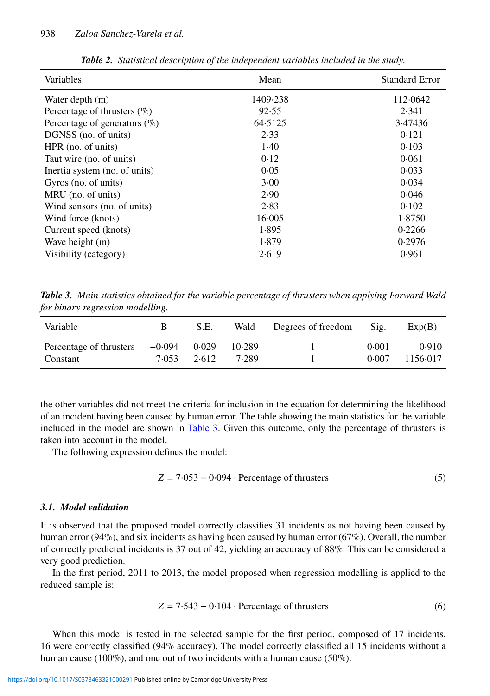| Variables                       | Mean     | <b>Standard Error</b> |  |
|---------------------------------|----------|-----------------------|--|
| Water depth (m)                 | 1409.238 | 112.0642              |  |
| Percentage of thrusters $(\%)$  | 92.55    | 2.341                 |  |
| Percentage of generators $(\%)$ | 64.5125  | 3.47436               |  |
| DGNSS (no. of units)            | 2.33     | 0.121                 |  |
| HPR (no. of units)              | 1.40     | 0.103                 |  |
| Taut wire (no. of units)        | 0.12     | 0.061                 |  |
| Inertia system (no. of units)   | 0.05     | 0.033                 |  |
| Gyros (no. of units)            | 3.00     | 0.034                 |  |
| MRU (no. of units)              | 2.90     | 0.046                 |  |
| Wind sensors (no. of units)     | 2.83     | 0.102                 |  |
| Wind force (knots)              | 16.005   | 1.8750                |  |
| Current speed (knots)           | 1.895    | 0.2266                |  |
| Wave height (m)                 | 1.879    | 0.2976                |  |
| Visibility (category)           | 2.619    | 0.961                 |  |

<span id="page-7-0"></span>*Table 2. Statistical description of the independent variables included in the study.*

<span id="page-7-1"></span>*Table 3. Main statistics obtained for the variable percentage of thrusters when applying Forward Wald for binary regression modelling.*

| Variable                            | В                       | S.E.  | Wald            | Degrees of freedom | Sig.           | Exp(B)            |
|-------------------------------------|-------------------------|-------|-----------------|--------------------|----------------|-------------------|
| Percentage of thrusters<br>Constant | $-0.094$ 0.029<br>7.053 | 2.612 | 10.289<br>7.289 |                    | 0.001<br>0.007 | 0.910<br>1156.017 |

the other variables did not meet the criteria for inclusion in the equation for determining the likelihood of an incident having been caused by human error. The table showing the main statistics for the variable included in the model are shown in [Table 3.](#page-7-1) Given this outcome, only the percentage of thrusters is taken into account in the model.

The following expression defines the model:

$$
Z = 7.053 - 0.094 \cdot Percentage of thrusters
$$
 (5)

# *3.1. Model validation*

It is observed that the proposed model correctly classifies 31 incidents as not having been caused by human error (94%), and six incidents as having been caused by human error (67%). Overall, the number of correctly predicted incidents is 37 out of 42, yielding an accuracy of 88%. This can be considered a very good prediction.

In the first period, 2011 to 2013, the model proposed when regression modelling is applied to the reduced sample is:

$$
Z = 7.543 - 0.104
$$
 Percentage of thrusters (6)

When this model is tested in the selected sample for the first period, composed of 17 incidents, 16 were correctly classified (94% accuracy). The model correctly classified all 15 incidents without a human cause (100%), and one out of two incidents with a human cause (50%).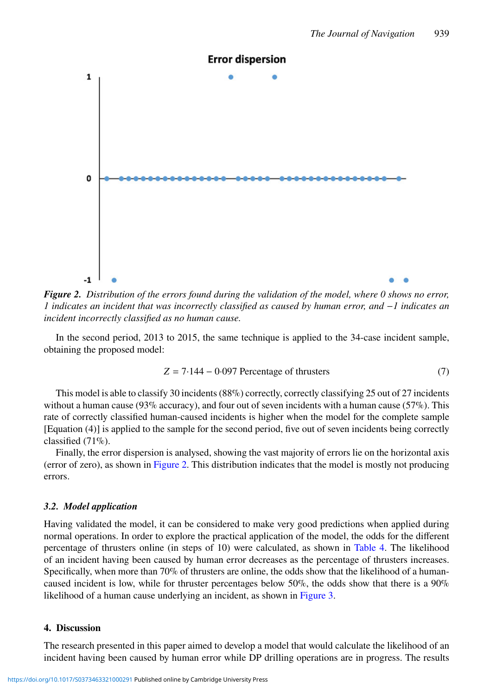

<span id="page-8-0"></span>*Figure 2. Distribution of the errors found during the validation of the model, where 0 shows no error, 1 indicates an incident that was incorrectly classified as caused by human error, and* −*1 indicates an incident incorrectly classified as no human cause.*

In the second period, 2013 to 2015, the same technique is applied to the 34-case incident sample, obtaining the proposed model:

$$
Z = 7.144 - 0.097 \text{ Percentage of thrusters} \tag{7}
$$

This model is able to classify 30 incidents (88%) correctly, correctly classifying 25 out of 27 incidents without a human cause (93% accuracy), and four out of seven incidents with a human cause (57%). This rate of correctly classified human-caused incidents is higher when the model for the complete sample [Equation (4)] is applied to the sample for the second period, five out of seven incidents being correctly classified (71%).

Finally, the error dispersion is analysed, showing the vast majority of errors lie on the horizontal axis (error of zero), as shown in [Figure 2.](#page-8-0) This distribution indicates that the model is mostly not producing errors.

## *3.2. Model application*

Having validated the model, it can be considered to make very good predictions when applied during normal operations. In order to explore the practical application of the model, the odds for the different percentage of thrusters online (in steps of 10) were calculated, as shown in [Table 4.](#page-9-0) The likelihood of an incident having been caused by human error decreases as the percentage of thrusters increases. Specifically, when more than 70% of thrusters are online, the odds show that the likelihood of a humancaused incident is low, while for thruster percentages below 50%, the odds show that there is a 90% likelihood of a human cause underlying an incident, as shown in [Figure 3.](#page-9-1)

## **4. Discussion**

The research presented in this paper aimed to develop a model that would calculate the likelihood of an incident having been caused by human error while DP drilling operations are in progress. The results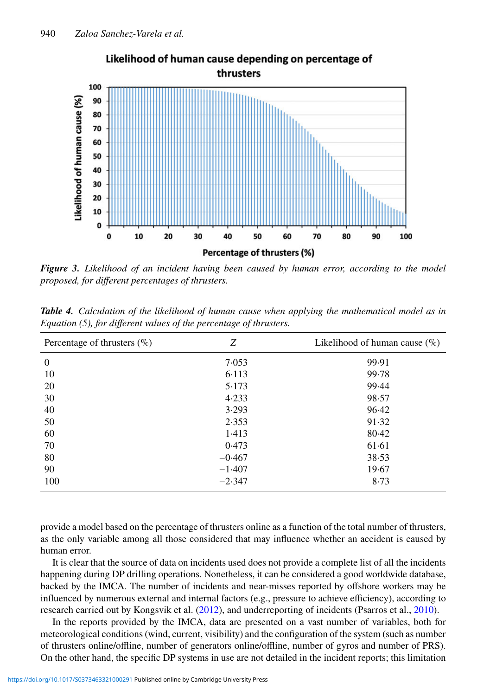

Likelihood of human cause depending on percentage of thrusters

<span id="page-9-1"></span>*Figure 3. Likelihood of an incident having been caused by human error, according to the model proposed, for different percentages of thrusters.*

| Percentage of thrusters $(\% )$ | Z        | Likelihood of human cause $(\%)$ |
|---------------------------------|----------|----------------------------------|
| $\theta$                        | 7.053    | 99.91                            |
| 10                              | 6.113    | 99.78                            |
| 20                              | 5.173    | 99.44                            |
| 30                              | 4.233    | 98.57                            |
| 40                              | 3.293    | 96.42                            |
| 50                              | 2.353    | 91.32                            |
| 60                              | 1.413    | 80.42                            |
| 70                              | 0.473    | 61.61                            |
| 80                              | $-0.467$ | 38.53                            |
| 90                              | $-1.407$ | 19.67                            |
| 100                             | $-2.347$ | 8.73                             |

<span id="page-9-0"></span>*Table 4. Calculation of the likelihood of human cause when applying the mathematical model as in Equation (5), for different values of the percentage of thrusters.*

provide a model based on the percentage of thrusters online as a function of the total number of thrusters, as the only variable among all those considered that may influence whether an accident is caused by human error.

It is clear that the source of data on incidents used does not provide a complete list of all the incidents happening during DP drilling operations. Nonetheless, it can be considered a good worldwide database, backed by the IMCA. The number of incidents and near-misses reported by offshore workers may be influenced by numerous external and internal factors (e.g., pressure to achieve efficiency), according to research carried out by Kongsvik et al. [\(2012\)](#page-11-28), and underreporting of incidents (Psarros et al., [2010\)](#page-11-29).

In the reports provided by the IMCA, data are presented on a vast number of variables, both for meteorological conditions (wind, current, visibility) and the configuration of the system (such as number of thrusters online/offline, number of generators online/offline, number of gyros and number of PRS). On the other hand, the specific DP systems in use are not detailed in the incident reports; this limitation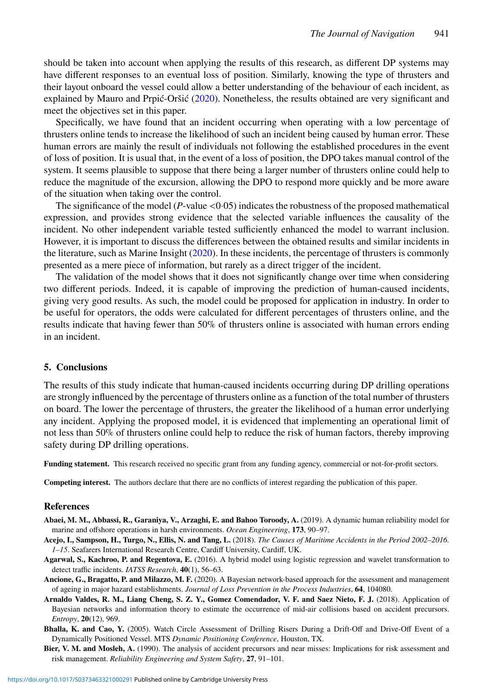should be taken into account when applying the results of this research, as different DP systems may have different responses to an eventual loss of position. Similarly, knowing the type of thrusters and their layout onboard the vessel could allow a better understanding of the behaviour of each incident, as explained by Mauro and Prpić-Oršić [\(2020\)](#page-11-30). Nonetheless, the results obtained are very significant and meet the objectives set in this paper.

Specifically, we have found that an incident occurring when operating with a low percentage of thrusters online tends to increase the likelihood of such an incident being caused by human error. These human errors are mainly the result of individuals not following the established procedures in the event of loss of position. It is usual that, in the event of a loss of position, the DPO takes manual control of the system. It seems plausible to suppose that there being a larger number of thrusters online could help to reduce the magnitude of the excursion, allowing the DPO to respond more quickly and be more aware of the situation when taking over the control.

The significance of the model  $(P$ -value  $\lt 0.05)$  indicates the robustness of the proposed mathematical expression, and provides strong evidence that the selected variable influences the causality of the incident. No other independent variable tested sufficiently enhanced the model to warrant inclusion. However, it is important to discuss the differences between the obtained results and similar incidents in the literature, such as Marine Insight [\(2020\)](#page-11-31). In these incidents, the percentage of thrusters is commonly presented as a mere piece of information, but rarely as a direct trigger of the incident.

The validation of the model shows that it does not significantly change over time when considering two different periods. Indeed, it is capable of improving the prediction of human-caused incidents, giving very good results. As such, the model could be proposed for application in industry. In order to be useful for operators, the odds were calculated for different percentages of thrusters online, and the results indicate that having fewer than 50% of thrusters online is associated with human errors ending in an incident.

#### **5. Conclusions**

The results of this study indicate that human-caused incidents occurring during DP drilling operations are strongly influenced by the percentage of thrusters online as a function of the total number of thrusters on board. The lower the percentage of thrusters, the greater the likelihood of a human error underlying any incident. Applying the proposed model, it is evidenced that implementing an operational limit of not less than 50% of thrusters online could help to reduce the risk of human factors, thereby improving safety during DP drilling operations.

**Funding statement.** This research received no specific grant from any funding agency, commercial or not-for-profit sectors.

**Competing interest.** The authors declare that there are no conflicts of interest regarding the publication of this paper.

## **References**

- <span id="page-10-6"></span>**Abaei, M. M., Abbassi, R., Garaniya, V., Arzaghi, E. and Bahoo Toroody, A.** (2019). A dynamic human reliability model for marine and offshore operations in harsh environments. *Ocean Engineering*, **173**, 90–97.
- <span id="page-10-0"></span>**Acejo, I., Sampson, H., Turgo, N., Ellis, N. and Tang, L.** (2018). *The Causes of Maritime Accidents in the Period 2002–2016. 1–15*. Seafarers International Research Centre, Cardiff University, Cardiff, UK.
- <span id="page-10-4"></span>**Agarwal, S., Kachroo, P. and Regentova, E.** (2016). A hybrid model using logistic regression and wavelet transformation to detect traffic incidents. *IATSS Research*, **40**(1), 56–63.
- <span id="page-10-1"></span>**Ancione, G., Bragatto, P. and Milazzo, M. F.** (2020). A Bayesian network-based approach for the assessment and management of ageing in major hazard establishments. *Journal of Loss Prevention in the Process Industries*, **64**, 104080.
- <span id="page-10-3"></span>**Arnaldo Valdes, R. M., Liang Cheng, S. Z. Y., Gomez Comendador, V. F. and Saez Nieto, F. J.** (2018). Application of Bayesian networks and information theory to estimate the occurrence of mid-air collisions based on accident precursors. *Entropy*, **20**(12), 969.
- <span id="page-10-5"></span>**Bhalla, K. and Cao, Y.** (2005). Watch Circle Assessment of Drilling Risers During a Drift-Off and Drive-Off Event of a Dynamically Positioned Vessel. MTS *Dynamic Positioning Conference*, Houston, TX.
- <span id="page-10-2"></span>**Bier, V. M. and Mosleh, A.** (1990). The analysis of accident precursors and near misses: Implications for risk assessment and risk management. *Reliability Engineering and System Safety*, **27**, 91–101.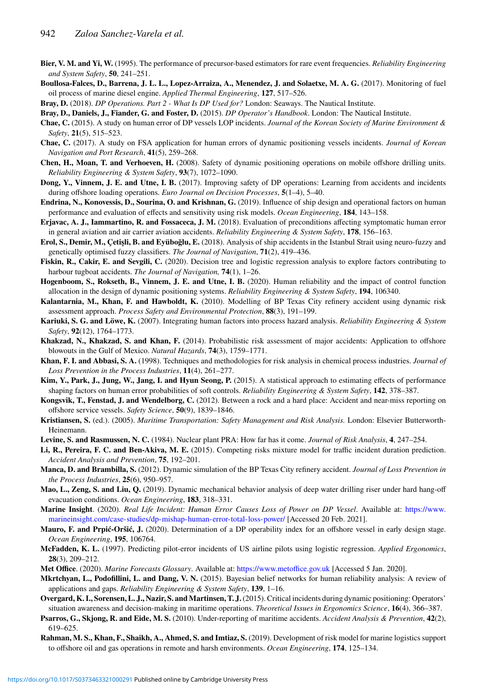- <span id="page-11-8"></span>**Bier, V. M. and Yi, W.** (1995). The performance of precursor-based estimators for rare event frequencies. *Reliability Engineering and System Safety*, **50**, 241–251.
- <span id="page-11-13"></span>**Boullosa-Falces, D., Barrena, J. L. L., Lopez-Arraiza, A., Menendez, J. and Solaetxe, M. A. G.** (2017). Monitoring of fuel oil process of marine diesel engine. *Applied Thermal Engineering*, **127**, 517–526.
- <span id="page-11-16"></span>**Bray, D.** (2018). *DP Operations. Part 2 - What Is DP Used for?* London: Seaways. The Nautical Institute.
- <span id="page-11-18"></span>**Bray, D., Daniels, J., Fiander, G. and Foster, D.** (2015). *DP Operator's Handbook*. London: The Nautical Institute.
- <span id="page-11-23"></span>**Chae, C.** (2015). A study on human error of DP vessels LOP incidents. *Journal of the Korean Society of Marine Environment & Safety*, **21**(5), 515–523.
- <span id="page-11-24"></span>**Chae, C.** (2017). A study on FSA application for human errors of dynamic positioning vessels incidents. *Journal of Korean Navigation and Port Research*, **41**(5), 259–268.
- <span id="page-11-19"></span>**Chen, H., Moan, T. and Verhoeven, H.** (2008). Safety of dynamic positioning operations on mobile offshore drilling units. *Reliability Engineering & System Safety*, **93**(7), 1072–1090.
- <span id="page-11-25"></span>**Dong, Y., Vinnem, J. E. and Utne, I. B.** (2017). Improving safety of DP operations: Learning from accidents and incidents during offshore loading operations. *Euro Journal on Decision Processes*, **5**(1–4), 5–40.
- <span id="page-11-20"></span>**Endrina, N., Konovessis, D., Sourina, O. and Krishnan, G.** (2019). Influence of ship design and operational factors on human performance and evaluation of effects and sensitivity using risk models. *Ocean Engineering*, **184**, 143–158.
- <span id="page-11-12"></span>**Erjavac, A. J., Iammartino, R. and Fossaceca, J. M.** (2018). Evaluation of preconditions affecting symptomatic human error in general aviation and air carrier aviation accidents. *Reliability Engineering & System Safety*, **178**, 156–163.
- <span id="page-11-17"></span>**Erol, S., Demir, M., Çetişli, B. and Eyüboğlu, E.** (2018). Analysis of ship accidents in the Istanbul Strait using neuro-fuzzy and genetically optimised fuzzy classifiers. *The Journal of Navigation*, **71**(2), 419–436.
- <span id="page-11-14"></span>**Fiskin, R., Cakir, E. and Sevgili, C.** (2020). Decision tree and logistic regression analysis to explore factors contributing to harbour tugboat accidents. *The Journal of Navigation,* **74**(1), 1–26.
- <span id="page-11-2"></span>**Hogenboom, S., Rokseth, B., Vinnem, J. E. and Utne, I. B.** (2020). Human reliability and the impact of control function allocation in the design of dynamic positioning systems. *Reliability Engineering & System Safety*, **194**, 106340.
- <span id="page-11-5"></span>**Kalantarnia, M., Khan, F. and Hawboldt, K.** (2010). Modelling of BP Texas City refinery accident using dynamic risk assessment approach. *Process Safety and Environmental Protection*, **88**(3), 191–199.
- <span id="page-11-0"></span>**Kariuki, S. G. and Löwe, K.** (2007). Integrating human factors into process hazard analysis. *Reliability Engineering & System Safety*, **92**(12), 1764–1773.
- <span id="page-11-9"></span>**Khakzad, N., Khakzad, S. and Khan, F.** (2014). Probabilistic risk assessment of major accidents: Application to offshore blowouts in the Gulf of Mexico. *Natural Hazards*, **74**(3), 1759–1771.
- <span id="page-11-6"></span>**Khan, F. I. and Abbasi, S. A.** (1998). Techniques and methodologies for risk analysis in chemical process industries. *Journal of Loss Prevention in the Process Industries*, **11**(4), 261–277.
- <span id="page-11-26"></span>**Kim, Y., Park, J., Jung, W., Jang, I. and Hyun Seong, P.** (2015). A statistical approach to estimating effects of performance shaping factors on human error probabilities of soft controls. *Reliability Engineering & System Safety*, **142**, 378–387.
- <span id="page-11-28"></span>**Kongsvik, T., Fenstad, J. and Wendelborg, C.** (2012). Between a rock and a hard place: Accident and near-miss reporting on offshore service vessels. *Safety Science*, **50**(9), 1839–1846.
- <span id="page-11-3"></span>**Kristiansen, S.** (ed.). (2005). *Maritime Transportation: Safety Management and Risk Analysis.* London: Elsevier Butterworth-Heinemann.
- <span id="page-11-4"></span>**Levine, S. and Rasmussen, N. C.** (1984). Nuclear plant PRA: How far has it come. *Journal of Risk Analysis*, **4**, 247–254.
- <span id="page-11-10"></span>**Li, R., Pereira, F. C. and Ben-Akiva, M. E.** (2015). Competing risks mixture model for traffic incident duration prediction. *Accident Analysis and Prevention*, **75**, 192–201.
- <span id="page-11-1"></span>**Manca, D. and Brambilla, S.** (2012). Dynamic simulation of the BP Texas City refinery accident. *Journal of Loss Prevention in the Process Industries*, **25**(6), 950–957.
- <span id="page-11-15"></span>**Mao, L., Zeng, S. and Liu, Q.** (2019). Dynamic mechanical behavior analysis of deep water drilling riser under hard hang-off evacuation conditions. *Ocean Engineering*, **183**, 318–331.
- <span id="page-11-31"></span>**Marine Insight**. (2020). *Real Life Incident: Human Error Causes Loss of Power on DP Vessel*. Available at: [https://www.](https://www.marineinsight.com/case-studies/dp-mishap-human-error-total-loss-power/) [marineinsight.com/case-studies/dp-mishap-human-error-total-loss-power/](https://www.marineinsight.com/case-studies/dp-mishap-human-error-total-loss-power/) [Accessed 20 Feb. 2021].
- <span id="page-11-30"></span>**Mauro, F. and Prpić-Oršić, J.** (2020). Determination of a DP operability index for an offshore vessel in early design stage. *Ocean Engineering*, **195**, 106764.
- <span id="page-11-11"></span>**McFadden, K. L.** (1997). Predicting pilot-error incidents of US airline pilots using logistic regression. *Applied Ergonomics*, **28**(3), 209–212.
- <span id="page-11-27"></span>**Met Office**. (2020). *Marine Forecasts Glossary*. Available at: <https://www.metoffice.gov.uk> [Accessed 5 Jan. 2020].
- <span id="page-11-7"></span>**Mkrtchyan, L., Podofillini, L. and Dang, V. N.** (2015). Bayesian belief networks for human reliability analysis: A review of applications and gaps. *Reliability Engineering & System Safety*, **139**, 1–16.
- <span id="page-11-21"></span>**Overgard, K. I., Sorensen, L. J., Nazir, S. and Martinsen, T. J.**(2015). Critical incidents during dynamic positioning: Operators' situation awareness and decision-making in maritime operations. *Theoretical Issues in Ergonomics Science*, **16**(4), 366–387.
- <span id="page-11-29"></span>**Psarros, G., Skjong, R. and Eide, M. S.** (2010). Under-reporting of maritime accidents. *Accident Analysis & Prevention*, **42**(2), 619–625.
- <span id="page-11-22"></span>**Rahman, M. S., Khan, F., Shaikh, A., Ahmed, S. and Imtiaz, S.** (2019). Development of risk model for marine logistics support to offshore oil and gas operations in remote and harsh environments. *Ocean Engineering*, **174**, 125–134.